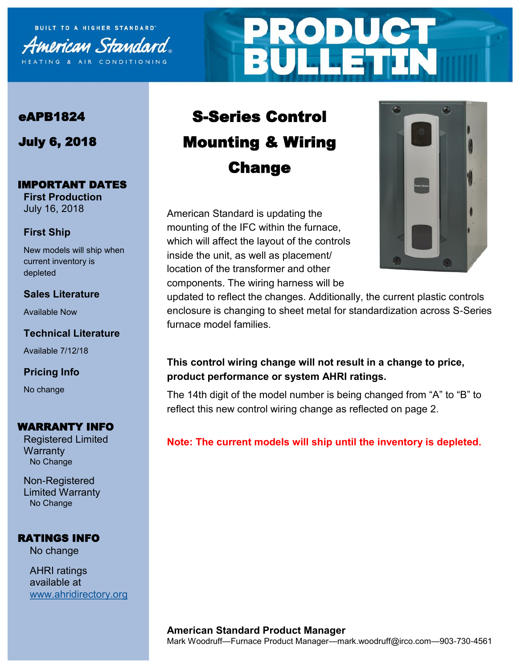

# **PRODUCT<br>BULLETIN**

### eAPB1824

July 6, 2018

#### IMPORTANT DATES

**First Production** July 16, 2018

#### **First Ship**

New models will ship when current inventory is depleted

#### **Sales Literature**

Available Now

#### **Technical Literature**

Available 7/12/18

#### **Pricing Info**

No change

#### WARRANTY INFO

Registered Limited **Warranty** No Change

Non-Registered Limited Warranty No Change

#### RATINGS INFO

No change

AHRI ratings available at [www.ahridirectory.org](http://ahridirectory.org)

## S-Series Control Mounting & Wiring Change

American Standard is updating the mounting of the IFC within the furnace, which will affect the layout of the controls inside the unit, as well as placement/ location of the transformer and other components. The wiring harness will be



updated to reflect the changes. Additionally, the current plastic controls enclosure is changing to sheet metal for standardization across S-Series furnace model families.

#### **This control wiring change will not result in a change to price, product performance or system AHRI ratings.**

The 14th digit of the model number is being changed from "A" to "B" to reflect this new control wiring change as reflected on page 2.

#### **Note: The current models will ship until the inventory is depleted.**